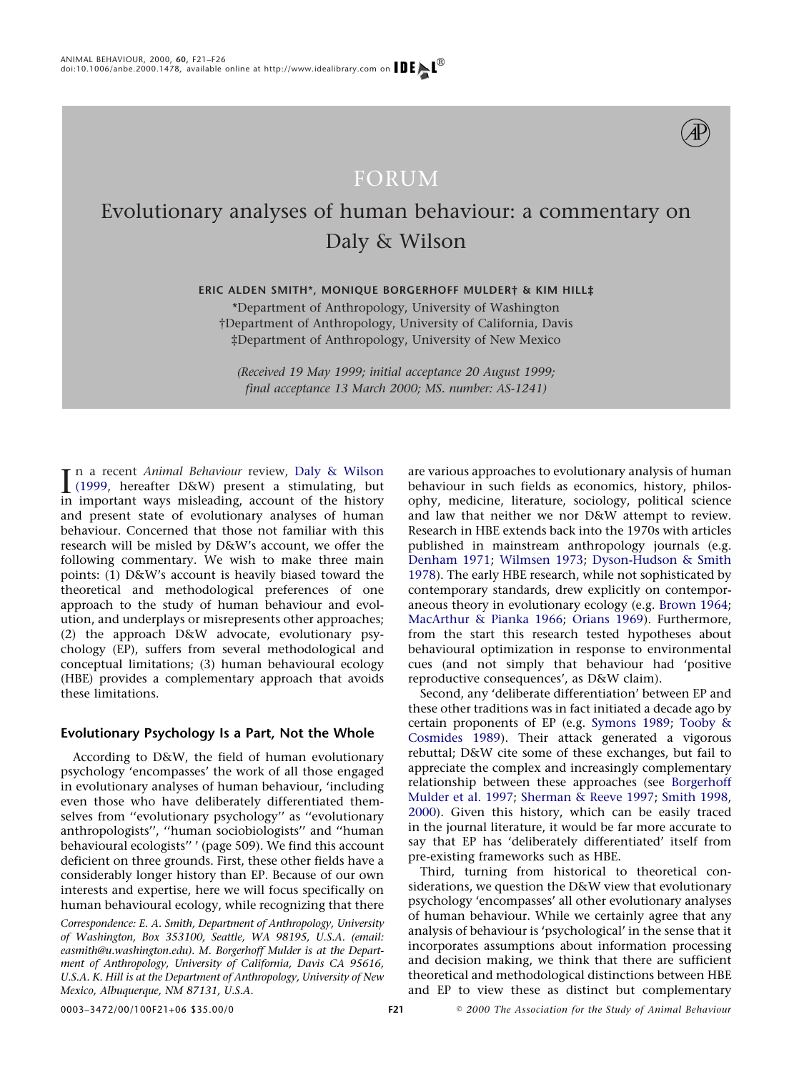

## FORUM

# Evolutionary analyses of human behaviour: a commentary on Daly & Wilson

**ERIC ALDEN SMITH\*, MONIQUE BORGERHOFF MULDER† & KIM HILL‡**

\*Department of Anthropology, University of Washington †Department of Anthropology, University of California, Davis ‡Department of Anthropology, University of New Mexico

*(Received 19 May 1999; initial acceptance 20 August 1999; final acceptance 13 March 2000; MS. number: AS-1241)*

In a recent *Animal Behaviour* review, Daly & Wilson<br> [\(1999,](#page-4-0) hereafter D&W) present a stimulating, but<br>
in important ways misleading account of the history n a recent *Animal Behaviour* review, [Daly & Wilson](#page-4-0) in important ways misleading, account of the history and present state of evolutionary analyses of human behaviour. Concerned that those not familiar with this research will be misled by D&W's account, we offer the following commentary. We wish to make three main points: (1) D&W's account is heavily biased toward the theoretical and methodological preferences of one approach to the study of human behaviour and evolution, and underplays or misrepresents other approaches; (2) the approach D&W advocate, evolutionary psychology (EP), suffers from several methodological and conceptual limitations; (3) human behavioural ecology (HBE) provides a complementary approach that avoids these limitations.

### **Evolutionary Psychology Is a Part, Not the Whole**

According to D&W, the field of human evolutionary psychology 'encompasses' the work of all those engaged in evolutionary analyses of human behaviour, 'including even those who have deliberately differentiated themselves from ''evolutionary psychology'' as ''evolutionary anthropologists'', ''human sociobiologists'' and ''human behavioural ecologists'' ' (page 509). We find this account deficient on three grounds. First, these other fields have a considerably longer history than EP. Because of our own interests and expertise, here we will focus specifically on human behavioural ecology, while recognizing that there

*Correspondence: E. A. Smith, Department of Anthropology, University of Washington, Box 353100, Seattle, WA 98195, U.S.A. (email: easmith@u.washington.edu). M. Borgerhoff Mulder is at the Department of Anthropology, University of California, Davis CA 95616, U.S.A. K. Hill is at the Department of Anthropology, University of New Mexico, Albuquerque, NM 87131, U.S.A.*

are various approaches to evolutionary analysis of human behaviour in such fields as economics, history, philosophy, medicine, literature, sociology, political science and law that neither we nor D&W attempt to review. Research in HBE extends back into the 1970s with articles published in mainstream anthropology journals (e.g. [Denham 1971;](#page-4-1) [Wilmsen 1973;](#page-5-0) [Dyson-Hudson & Smith](#page-4-2) [1978\)](#page-4-2). The early HBE research, while not sophisticated by contemporary standards, drew explicitly on contemporaneous theory in evolutionary ecology (e.g. [Brown 1964;](#page-4-3) [MacArthur & Pianka 1966;](#page-4-4) [Orians 1969\)](#page-4-5). Furthermore, from the start this research tested hypotheses about behavioural optimization in response to environmental cues (and not simply that behaviour had 'positive reproductive consequences', as D&W claim).

Second, any 'deliberate differentiation' between EP and these other traditions was in fact initiated a decade ago by certain proponents of EP (e.g. [Symons 1989;](#page-5-1) [Tooby &](#page-5-2) [Cosmides 1989\)](#page-5-2). Their attack generated a vigorous rebuttal; D&W cite some of these exchanges, but fail to appreciate the complex and increasingly complementary relationship between these approaches (see [Borgerhoff](#page-4-6) [Mulder et al. 1997;](#page-4-6) [Sherman & Reeve 1997;](#page-4-7) [Smith 1998,](#page-5-3) [2000\)](#page-5-4). Given this history, which can be easily traced in the journal literature, it would be far more accurate to say that EP has 'deliberately differentiated' itself from pre-existing frameworks such as HBE.

Third, turning from historical to theoretical considerations, we question the D&W view that evolutionary psychology 'encompasses' all other evolutionary analyses of human behaviour. While we certainly agree that any analysis of behaviour is 'psychological' in the sense that it incorporates assumptions about information processing and decision making, we think that there are sufficient theoretical and methodological distinctions between HBE and EP to view these as distinct but complementary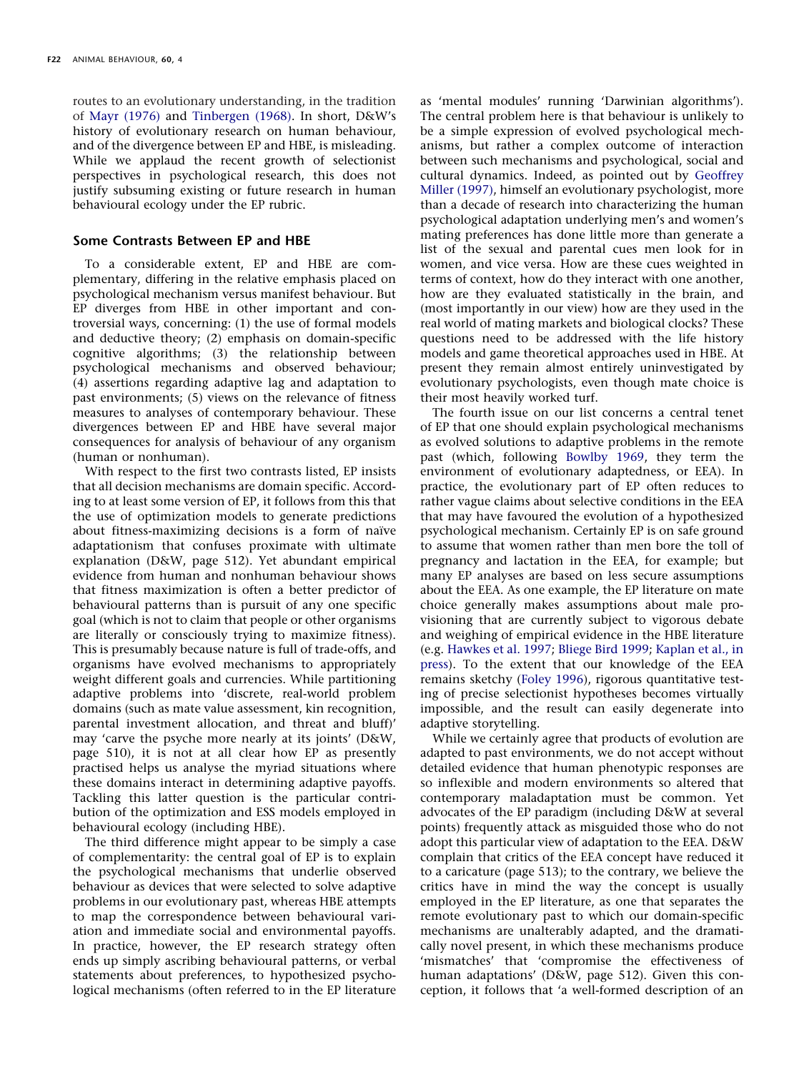routes to an evolutionary understanding, in the tradition of [Mayr \(1976\)](#page-4-8) and [Tinbergen \(1968\).](#page-5-5) In short, D&W's history of evolutionary research on human behaviour, and of the divergence between EP and HBE, is misleading. While we applaud the recent growth of selectionist perspectives in psychological research, this does not justify subsuming existing or future research in human behavioural ecology under the EP rubric.

#### **Some Contrasts Between EP and HBE**

To a considerable extent, EP and HBE are complementary, differing in the relative emphasis placed on psychological mechanism versus manifest behaviour. But EP diverges from HBE in other important and controversial ways, concerning: (1) the use of formal models and deductive theory; (2) emphasis on domain-specific cognitive algorithms; (3) the relationship between psychological mechanisms and observed behaviour; (4) assertions regarding adaptive lag and adaptation to past environments; (5) views on the relevance of fitness measures to analyses of contemporary behaviour. These divergences between EP and HBE have several major consequences for analysis of behaviour of any organism (human or nonhuman).

With respect to the first two contrasts listed, EP insists that all decision mechanisms are domain specific. According to at least some version of EP, it follows from this that the use of optimization models to generate predictions about fitness-maximizing decisions is a form of naïve adaptationism that confuses proximate with ultimate explanation (D&W, page 512). Yet abundant empirical evidence from human and nonhuman behaviour shows that fitness maximization is often a better predictor of behavioural patterns than is pursuit of any one specific goal (which is not to claim that people or other organisms are literally or consciously trying to maximize fitness). This is presumably because nature is full of trade-offs, and organisms have evolved mechanisms to appropriately weight different goals and currencies. While partitioning adaptive problems into 'discrete, real-world problem domains (such as mate value assessment, kin recognition, parental investment allocation, and threat and bluff)' may 'carve the psyche more nearly at its joints' (D&W, page 510), it is not at all clear how EP as presently practised helps us analyse the myriad situations where these domains interact in determining adaptive payoffs. Tackling this latter question is the particular contribution of the optimization and ESS models employed in behavioural ecology (including HBE).

The third difference might appear to be simply a case of complementarity: the central goal of EP is to explain the psychological mechanisms that underlie observed behaviour as devices that were selected to solve adaptive problems in our evolutionary past, whereas HBE attempts to map the correspondence between behavioural variation and immediate social and environmental payoffs. In practice, however, the EP research strategy often ends up simply ascribing behavioural patterns, or verbal statements about preferences, to hypothesized psychological mechanisms (often referred to in the EP literature as 'mental modules' running 'Darwinian algorithms'). The central problem here is that behaviour is unlikely to be a simple expression of evolved psychological mechanisms, but rather a complex outcome of interaction between such mechanisms and psychological, social and cultural dynamics. Indeed, as pointed out by [Geoffrey](#page-4-9) [Miller \(1997\),](#page-4-9) himself an evolutionary psychologist, more than a decade of research into characterizing the human psychological adaptation underlying men's and women's mating preferences has done little more than generate a list of the sexual and parental cues men look for in women, and vice versa. How are these cues weighted in terms of context, how do they interact with one another, how are they evaluated statistically in the brain, and (most importantly in our view) how are they used in the real world of mating markets and biological clocks? These questions need to be addressed with the life history models and game theoretical approaches used in HBE. At present they remain almost entirely uninvestigated by evolutionary psychologists, even though mate choice is their most heavily worked turf.

The fourth issue on our list concerns a central tenet of EP that one should explain psychological mechanisms as evolved solutions to adaptive problems in the remote past (which, following [Bowlby 1969,](#page-4-10) they term the environment of evolutionary adaptedness, or EEA). In practice, the evolutionary part of EP often reduces to rather vague claims about selective conditions in the EEA that may have favoured the evolution of a hypothesized psychological mechanism. Certainly EP is on safe ground to assume that women rather than men bore the toll of pregnancy and lactation in the EEA, for example; but many EP analyses are based on less secure assumptions about the EEA. As one example, the EP literature on mate choice generally makes assumptions about male provisioning that are currently subject to vigorous debate and weighing of empirical evidence in the HBE literature (e.g. [Hawkes et al. 1997;](#page-4-11) [Bliege Bird 1999;](#page-3-0) [Kaplan et al., in](#page-4-12) [press\)](#page-4-12). To the extent that our knowledge of the EEA remains sketchy [\(Foley 1996\)](#page-4-13), rigorous quantitative testing of precise selectionist hypotheses becomes virtually impossible, and the result can easily degenerate into adaptive storytelling.

While we certainly agree that products of evolution are adapted to past environments, we do not accept without detailed evidence that human phenotypic responses are so inflexible and modern environments so altered that contemporary maladaptation must be common. Yet advocates of the EP paradigm (including D&W at several points) frequently attack as misguided those who do not adopt this particular view of adaptation to the EEA. D&W complain that critics of the EEA concept have reduced it to a caricature (page 513); to the contrary, we believe the critics have in mind the way the concept is usually employed in the EP literature, as one that separates the remote evolutionary past to which our domain-specific mechanisms are unalterably adapted, and the dramatically novel present, in which these mechanisms produce 'mismatches' that 'compromise the effectiveness of human adaptations' (D&W, page 512). Given this conception, it follows that 'a well-formed description of an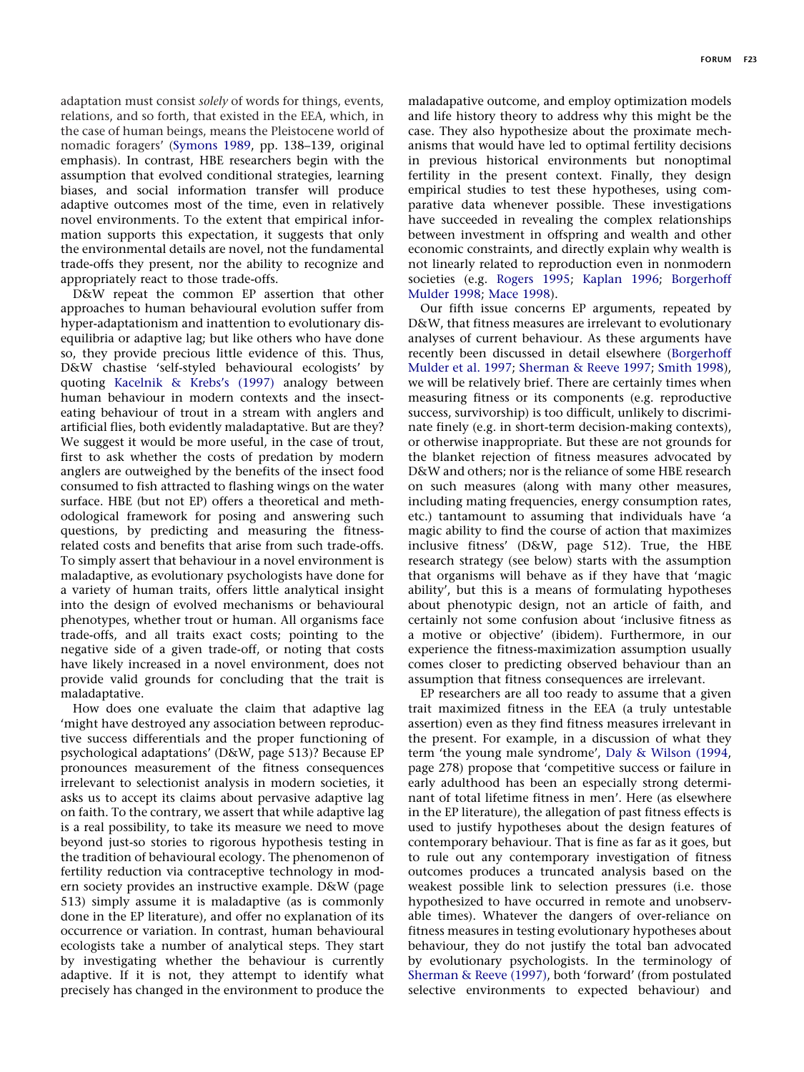adaptation must consist *solely* of words for things, events, relations, and so forth, that existed in the EEA, which, in the case of human beings, means the Pleistocene world of nomadic foragers' [\(Symons 1989,](#page-5-1) pp. 138–139, original emphasis). In contrast, HBE researchers begin with the assumption that evolved conditional strategies, learning biases, and social information transfer will produce adaptive outcomes most of the time, even in relatively novel environments. To the extent that empirical information supports this expectation, it suggests that only the environmental details are novel, not the fundamental trade-offs they present, nor the ability to recognize and appropriately react to those trade-offs.

D&W repeat the common EP assertion that other approaches to human behavioural evolution suffer from hyper-adaptationism and inattention to evolutionary disequilibria or adaptive lag; but like others who have done so, they provide precious little evidence of this. Thus, D&W chastise 'self-styled behavioural ecologists' by quoting [Kacelnik & Krebs's \(1997\)](#page-4-14) analogy between human behaviour in modern contexts and the insecteating behaviour of trout in a stream with anglers and artificial flies, both evidently maladaptative. But are they? We suggest it would be more useful, in the case of trout, first to ask whether the costs of predation by modern anglers are outweighed by the benefits of the insect food consumed to fish attracted to flashing wings on the water surface. HBE (but not EP) offers a theoretical and methodological framework for posing and answering such questions, by predicting and measuring the fitnessrelated costs and benefits that arise from such trade-offs. To simply assert that behaviour in a novel environment is maladaptive, as evolutionary psychologists have done for a variety of human traits, offers little analytical insight into the design of evolved mechanisms or behavioural phenotypes, whether trout or human. All organisms face trade-offs, and all traits exact costs; pointing to the negative side of a given trade-off, or noting that costs have likely increased in a novel environment, does not provide valid grounds for concluding that the trait is maladaptative.

How does one evaluate the claim that adaptive lag 'might have destroyed any association between reproductive success differentials and the proper functioning of psychological adaptations' (D&W, page 513)? Because EP pronounces measurement of the fitness consequences irrelevant to selectionist analysis in modern societies, it asks us to accept its claims about pervasive adaptive lag on faith. To the contrary, we assert that while adaptive lag is a real possibility, to take its measure we need to move beyond just-so stories to rigorous hypothesis testing in the tradition of behavioural ecology. The phenomenon of fertility reduction via contraceptive technology in modern society provides an instructive example. D&W (page 513) simply assume it is maladaptive (as is commonly done in the EP literature), and offer no explanation of its occurrence or variation. In contrast, human behavioural ecologists take a number of analytical steps. They start by investigating whether the behaviour is currently adaptive. If it is not, they attempt to identify what precisely has changed in the environment to produce the maladapative outcome, and employ optimization models and life history theory to address why this might be the case. They also hypothesize about the proximate mechanisms that would have led to optimal fertility decisions in previous historical environments but nonoptimal fertility in the present context. Finally, they design empirical studies to test these hypotheses, using comparative data whenever possible. These investigations have succeeded in revealing the complex relationships between investment in offspring and wealth and other economic constraints, and directly explain why wealth is not linearly related to reproduction even in nonmodern societies (e.g. [Rogers 1995;](#page-4-15) [Kaplan 1996;](#page-4-16) [Borgerhoff](#page-4-17) [Mulder 1998;](#page-4-17) [Mace 1998\)](#page-4-18).

Our fifth issue concerns EP arguments, repeated by D&W, that fitness measures are irrelevant to evolutionary analyses of current behaviour. As these arguments have recently been discussed in detail elsewhere [\(Borgerhoff](#page-4-6) [Mulder et al. 1997;](#page-4-6) [Sherman & Reeve 1997;](#page-4-7) [Smith 1998\)](#page-5-3), we will be relatively brief. There are certainly times when measuring fitness or its components (e.g. reproductive success, survivorship) is too difficult, unlikely to discriminate finely (e.g. in short-term decision-making contexts), or otherwise inappropriate. But these are not grounds for the blanket rejection of fitness measures advocated by D&W and others; nor is the reliance of some HBE research on such measures (along with many other measures, including mating frequencies, energy consumption rates, etc.) tantamount to assuming that individuals have 'a magic ability to find the course of action that maximizes inclusive fitness' (D&W, page 512). True, the HBE research strategy (see below) starts with the assumption that organisms will behave as if they have that 'magic ability', but this is a means of formulating hypotheses about phenotypic design, not an article of faith, and certainly not some confusion about 'inclusive fitness as a motive or objective' (ibidem). Furthermore, in our experience the fitness-maximization assumption usually comes closer to predicting observed behaviour than an assumption that fitness consequences are irrelevant.

EP researchers are all too ready to assume that a given trait maximized fitness in the EEA (a truly untestable assertion) even as they find fitness measures irrelevant in the present. For example, in a discussion of what they term 'the young male syndrome', [Daly & Wilson \(1994,](#page-4-19) page 278) propose that 'competitive success or failure in early adulthood has been an especially strong determinant of total lifetime fitness in men'. Here (as elsewhere in the EP literature), the allegation of past fitness effects is used to justify hypotheses about the design features of contemporary behaviour. That is fine as far as it goes, but to rule out any contemporary investigation of fitness outcomes produces a truncated analysis based on the weakest possible link to selection pressures (i.e. those hypothesized to have occurred in remote and unobservable times). Whatever the dangers of over-reliance on fitness measures in testing evolutionary hypotheses about behaviour, they do not justify the total ban advocated by evolutionary psychologists. In the terminology of [Sherman & Reeve \(1997\),](#page-4-7) both 'forward' (from postulated selective environments to expected behaviour) and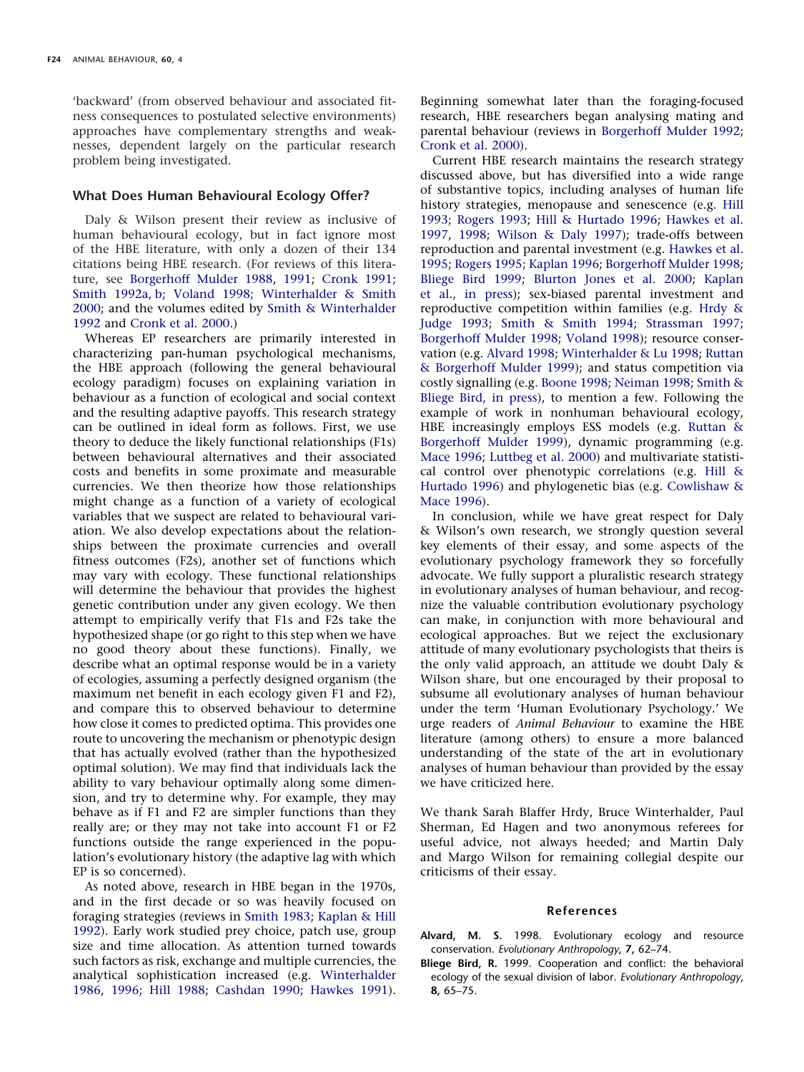'backward' (from observed behaviour and associated fitness consequences to postulated selective environments) approaches have complementary strengths and weaknesses, dependent largely on the particular research problem being investigated.

#### **What Does Human Behavioural Ecology Offer?**

Daly & Wilson present their review as inclusive of human behavioural ecology, but in fact ignore most of the HBE literature, with only a dozen of their 134 citations being HBE research. (For reviews of this literature, see [Borgerhoff Mulder 1988,](#page-4-20) [1991;](#page-4-21) [Cronk 1991;](#page-4-22) [Smith 1992a,](#page-4-23) [b;](#page-5-6) [Voland 1998;](#page-5-7) [Winterhalder & Smith](#page-5-8) [2000;](#page-5-8) and the volumes edited by [Smith & Winterhalder](#page-5-9) [1992](#page-5-9) and [Cronk et al. 2000.](#page-4-24))

Whereas EP researchers are primarily interested in characterizing pan-human psychological mechanisms, the HBE approach (following the general behavioural ecology paradigm) focuses on explaining variation in behaviour as a function of ecological and social context and the resulting adaptive payoffs. This research strategy can be outlined in ideal form as follows. First, we use theory to deduce the likely functional relationships (F1s) between behavioural alternatives and their associated costs and benefits in some proximate and measurable currencies. We then theorize how those relationships might change as a function of a variety of ecological variables that we suspect are related to behavioural variation. We also develop expectations about the relationships between the proximate currencies and overall fitness outcomes (F2s), another set of functions which may vary with ecology. These functional relationships will determine the behaviour that provides the highest genetic contribution under any given ecology. We then attempt to empirically verify that F1s and F2s take the hypothesized shape (or go right to this step when we have no good theory about these functions). Finally, we describe what an optimal response would be in a variety of ecologies, assuming a perfectly designed organism (the maximum net benefit in each ecology given F1 and F2), and compare this to observed behaviour to determine how close it comes to predicted optima. This provides one route to uncovering the mechanism or phenotypic design that has actually evolved (rather than the hypothesized optimal solution). We may find that individuals lack the ability to vary behaviour optimally along some dimension, and try to determine why. For example, they may behave as if F1 and F2 are simpler functions than they really are; or they may not take into account F1 or F2 functions outside the range experienced in the population's evolutionary history (the adaptive lag with which EP is so concerned).

As noted above, research in HBE began in the 1970s, and in the first decade or so was heavily focused on foraging strategies (reviews in [Smith 1983;](#page-4-25) [Kaplan & Hill](#page-4-26) [1992\)](#page-4-26). Early work studied prey choice, patch use, group size and time allocation. As attention turned towards such factors as risk, exchange and multiple currencies, the analytical sophistication increased (e.g. [Winterhalder](#page-5-10) [1986,](#page-5-10) [1996;](#page-5-11) [Hill 1988;](#page-4-27) [Cashdan 1990;](#page-4-28) [Hawkes 1991\)](#page-4-29). Beginning somewhat later than the foraging-focused research, HBE researchers began analysing mating and parental behaviour (reviews in [Borgerhoff Mulder 1992;](#page-4-30) [Cronk et al. 2000\)](#page-4-24).

Current HBE research maintains the research strategy discussed above, but has diversified into a wide range of substantive topics, including analyses of human life history strategies, menopause and senescence (e.g. [Hill](#page-4-31) [1993;](#page-4-31) [Rogers 1993;](#page-4-32) [Hill & Hurtado 1996;](#page-4-33) [Hawkes et al.](#page-4-11) [1997,](#page-4-11) [1998;](#page-4-34) [Wilson & Daly 1997\)](#page-5-12); trade-offs between reproduction and parental investment (e.g. [Hawkes et al.](#page-4-35) [1995;](#page-4-35) [Rogers 1995;](#page-4-15) [Kaplan 1996;](#page-4-16) [Borgerhoff Mulder 1998;](#page-4-17) [Bliege Bird 1999;](#page-3-0) [Blurton Jones et al. 2000;](#page-4-36) [Kaplan](#page-4-12) [et al., in press\)](#page-4-12); sex-biased parental investment and reproductive competition within families (e.g. [Hrdy &](#page-4-37) [Judge 1993;](#page-4-37) [Smith & Smith 1994;](#page-5-13) [Strassman 1997;](#page-5-14) [Borgerhoff Mulder 1998;](#page-4-17) [Voland 1998\)](#page-5-7); resource conservation (e.g. [Alvard 1998;](#page-3-1) [Winterhalder & Lu 1998;](#page-5-15) [Ruttan](#page-4-38) [& Borgerhoff Mulder 1999\)](#page-4-38); and status competition via costly signalling (e.g. [Boone 1998;](#page-4-39) [Neiman 1998;](#page-4-40) [Smith &](#page-5-16) [Bliege Bird, in press\)](#page-5-16), to mention a few. Following the example of work in nonhuman behavioural ecology, HBE increasingly employs ESS models (e.g. [Ruttan &](#page-4-38) [Borgerhoff Mulder 1999\)](#page-4-38), dynamic programming (e.g. [Mace 1996;](#page-4-41) [Luttbeg et al. 2000\)](#page-4-42) and multivariate statistical control over phenotypic correlations (e.g. [Hill &](#page-4-33) [Hurtado 1996\)](#page-4-33) and phylogenetic bias (e.g. [Cowlishaw &](#page-4-43) [Mace 1996\)](#page-4-43).

In conclusion, while we have great respect for Daly & Wilson's own research, we strongly question several key elements of their essay, and some aspects of the evolutionary psychology framework they so forcefully advocate. We fully support a pluralistic research strategy in evolutionary analyses of human behaviour, and recognize the valuable contribution evolutionary psychology can make, in conjunction with more behavioural and ecological approaches. But we reject the exclusionary attitude of many evolutionary psychologists that theirs is the only valid approach, an attitude we doubt Daly & Wilson share, but one encouraged by their proposal to subsume all evolutionary analyses of human behaviour under the term 'Human Evolutionary Psychology.' We urge readers of *Animal Behaviour* to examine the HBE literature (among others) to ensure a more balanced understanding of the state of the art in evolutionary analyses of human behaviour than provided by the essay we have criticized here.

We thank Sarah Blaffer Hrdy, Bruce Winterhalder, Paul Sherman, Ed Hagen and two anonymous referees for useful advice, not always heeded; and Martin Daly and Margo Wilson for remaining collegial despite our criticisms of their essay.

#### **References**

- <span id="page-3-1"></span>**Alvard, M. S.** 1998. Evolutionary ecology and resource conservation. *Evolutionary Anthropology*, **7,** 62–74.
- <span id="page-3-0"></span>**Bliege Bird, R.** 1999. Cooperation and conflict: the behavioral ecology of the sexual division of labor. *Evolutionary Anthropology*, **8,** 65–75.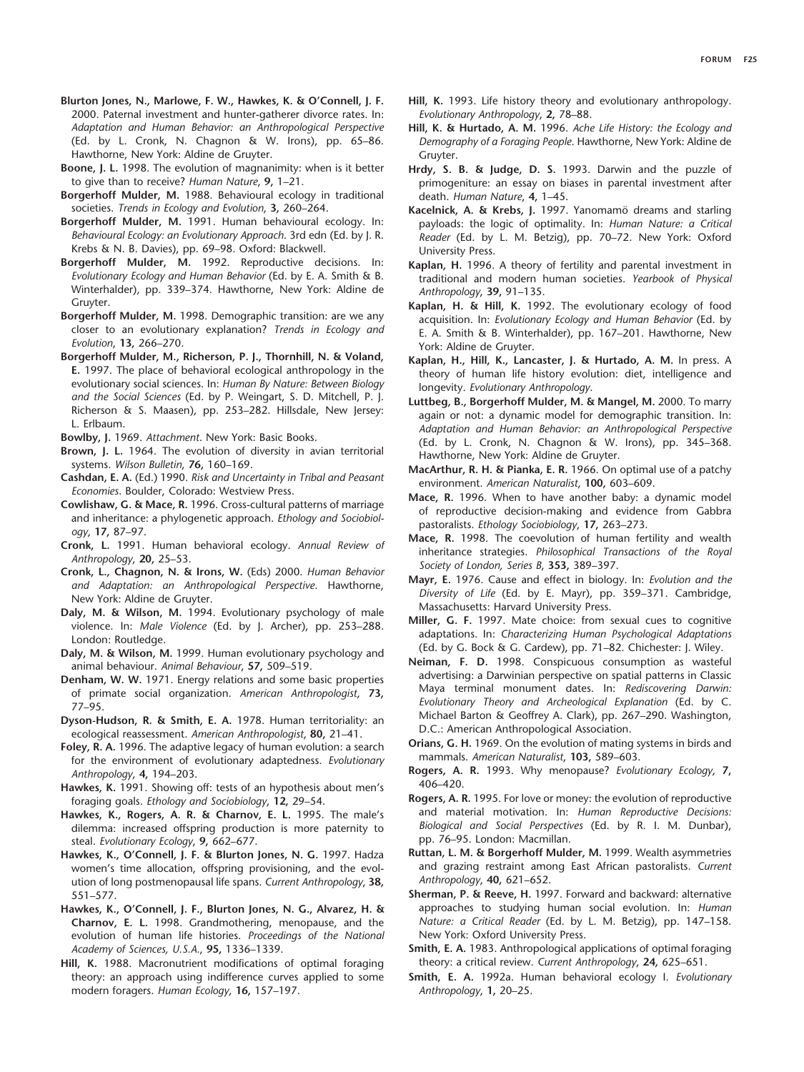- <span id="page-4-36"></span>**Blurton Jones, N., Marlowe, F. W., Hawkes, K. & O'Connell, J. F.** 2000. Paternal investment and hunter-gatherer divorce rates. In: *Adaptation and Human Behavior: an Anthropological Perspective* (Ed. by L. Cronk, N. Chagnon & W. Irons), pp. 65–86. Hawthorne, New York: Aldine de Gruyter.
- <span id="page-4-39"></span>**Boone, J. L.** 1998. The evolution of magnanimity: when is it better to give than to receive? *Human Nature*, **9,** 1–21.
- <span id="page-4-20"></span>**Borgerhoff Mulder, M.** 1988. Behavioural ecology in traditional societies. *Trends in Ecology and Evolution*, **3,** 260–264.
- <span id="page-4-21"></span>**Borgerhoff Mulder, M.** 1991. Human behavioural ecology. In: *Behavioural Ecology: an Evolutionary Approach*. 3rd edn (Ed. by J. R. Krebs & N. B. Davies), pp. 69–98. Oxford: Blackwell.
- <span id="page-4-30"></span>**Borgerhoff Mulder, M.** 1992. Reproductive decisions. In: *Evolutionary Ecology and Human Behavior* (Ed. by E. A. Smith & B. Winterhalder), pp. 339–374. Hawthorne, New York: Aldine de Gruyter.
- <span id="page-4-17"></span>**Borgerhoff Mulder, M.** 1998. Demographic transition: are we any closer to an evolutionary explanation? *Trends in Ecology and Evolution*, **13,** 266–270.
- <span id="page-4-6"></span>**Borgerhoff Mulder, M., Richerson, P. J., Thornhill, N. & Voland, E.** 1997. The place of behavioral ecological anthropology in the evolutionary social sciences. In: *Human By Nature: Between Biology and the Social Sciences* (Ed. by P. Weingart, S. D. Mitchell, P. J. Richerson & S. Maasen), pp. 253–282. Hillsdale, New Jersey: L. Erlbaum.
- <span id="page-4-10"></span>**Bowlby, J.** 1969. *Attachment*. New York: Basic Books.
- <span id="page-4-3"></span>**Brown, J. L.** 1964. The evolution of diversity in avian territorial systems. *Wilson Bulletin*, **76,** 160–169.
- <span id="page-4-28"></span>**Cashdan, E. A.** (Ed.) 1990. *Risk and Uncertainty in Tribal and Peasant Economies*. Boulder, Colorado: Westview Press.
- <span id="page-4-43"></span>**Cowlishaw, G. & Mace, R.** 1996. Cross-cultural patterns of marriage and inheritance: a phylogenetic approach. *Ethology and Sociobiology*, **17,** 87–97.
- <span id="page-4-22"></span>**Cronk, L.** 1991. Human behavioral ecology. *Annual Review of Anthropology*, **20,** 25–53.
- <span id="page-4-24"></span>**Cronk, L., Chagnon, N. & Irons, W.** (Eds) 2000. *Human Behavior and Adaptation: an Anthropological Perspective*. Hawthorne, New York: Aldine de Gruyter.
- <span id="page-4-19"></span>**Daly, M. & Wilson, M.** 1994. Evolutionary psychology of male violence. In: *Male Violence* (Ed. by J. Archer), pp. 253–288. London: Routledge.
- <span id="page-4-0"></span>**Daly, M. & Wilson, M.** 1999. Human evolutionary psychology and animal behaviour. *Animal Behaviour*, **57,** 509–519.
- <span id="page-4-1"></span>**Denham, W. W.** 1971. Energy relations and some basic properties of primate social organization. *American Anthropologist*, **73,** 77–95.
- <span id="page-4-2"></span>**Dyson-Hudson, R. & Smith, E. A.** 1978. Human territoriality: an ecological reassessment. *American Anthropologist*, **80,** 21–41.
- <span id="page-4-13"></span>**Foley, R. A.** 1996. The adaptive legacy of human evolution: a search for the environment of evolutionary adaptedness. *Evolutionary Anthropology*, **4,** 194–203.
- <span id="page-4-29"></span>**Hawkes, K.** 1991. Showing off: tests of an hypothesis about men's foraging goals. *Ethology and Sociobiology*, **12,** 29–54.
- <span id="page-4-35"></span>**Hawkes, K., Rogers, A. R. & Charnov, E. L.** 1995. The male's dilemma: increased offspring production is more paternity to steal. *Evolutionary Ecology*, **9,** 662–677.
- <span id="page-4-11"></span>**Hawkes, K., O'Connell, J. F. & Blurton Jones, N. G.** 1997. Hadza women's time allocation, offspring provisioning, and the evolution of long postmenopausal life spans. *Current Anthropology*, **38,** 551–577.
- <span id="page-4-34"></span>**Hawkes, K., O'Connell, J. F., Blurton Jones, N. G., Alvarez, H. & Charnov, E. L.** 1998. Grandmothering, menopause, and the evolution of human life histories. *Proceedings of the National Academy of Sciences, U.S.A.*, **95,** 1336–1339.
- <span id="page-4-27"></span>**Hill, K.** 1988. Macronutrient modifications of optimal foraging theory: an approach using indifference curves applied to some modern foragers. *Human Ecology*, **16,** 157–197.
- <span id="page-4-31"></span>**Hill, K.** 1993. Life history theory and evolutionary anthropology. *Evolutionary Anthropology*, **2,** 78–88.
- <span id="page-4-33"></span>**Hill, K. & Hurtado, A. M.** 1996. *Ache Life History: the Ecology and Demography of a Foraging People*. Hawthorne, New York: Aldine de Gruyter.
- <span id="page-4-37"></span>**Hrdy, S. B. & Judge, D. S.** 1993. Darwin and the puzzle of primogeniture: an essay on biases in parental investment after death. *Human Nature*, **4,** 1–45.
- <span id="page-4-14"></span>Kacelnick, A. & Krebs, J. 1997. Yanomamö dreams and starling payloads: the logic of optimality. In: *Human Nature: a Critical Reader* (Ed. by L. M. Betzig), pp. 70–72. New York: Oxford University Press.
- <span id="page-4-16"></span>**Kaplan, H.** 1996. A theory of fertility and parental investment in traditional and modern human societies. *Yearbook of Physical Anthropology*, **39,** 91–135.
- <span id="page-4-26"></span>**Kaplan, H. & Hill, K.** 1992. The evolutionary ecology of food acquisition. In: *Evolutionary Ecology and Human Behavior* (Ed. by E. A. Smith & B. Winterhalder), pp. 167–201. Hawthorne, New York: Aldine de Gruyter.
- <span id="page-4-12"></span>**Kaplan, H., Hill, K., Lancaster, J. & Hurtado, A. M.** In press. A theory of human life history evolution: diet, intelligence and longevity. *Evolutionary Anthropology*.
- <span id="page-4-42"></span>**Luttbeg, B., Borgerhoff Mulder, M. & Mangel, M.** 2000. To marry again or not: a dynamic model for demographic transition. In: *Adaptation and Human Behavior: an Anthropological Perspective* (Ed. by L. Cronk, N. Chagnon & W. Irons), pp. 345–368. Hawthorne, New York: Aldine de Gruyter.
- <span id="page-4-4"></span>**MacArthur, R. H. & Pianka, E. R.** 1966. On optimal use of a patchy environment. *American Naturalist*, **100,** 603–609.
- <span id="page-4-41"></span>**Mace, R.** 1996. When to have another baby: a dynamic model of reproductive decision-making and evidence from Gabbra pastoralists. *Ethology Sociobiology*, **17,** 263–273.
- <span id="page-4-18"></span>**Mace, R.** 1998. The coevolution of human fertility and wealth inheritance strategies. *Philosophical Transactions of the Royal Society of London, Series B*, **353,** 389–397.
- <span id="page-4-8"></span>**Mayr, E.** 1976. Cause and effect in biology. In: *Evolution and the Diversity of Life* (Ed. by E. Mayr), pp. 359–371. Cambridge, Massachusetts: Harvard University Press.
- <span id="page-4-9"></span>**Miller, G. F.** 1997. Mate choice: from sexual cues to cognitive adaptations. In: *Characterizing Human Psychological Adaptations* (Ed. by G. Bock & G. Cardew), pp. 71–82. Chichester: J. Wiley.
- <span id="page-4-40"></span>**Neiman, F. D.** 1998. Conspicuous consumption as wasteful advertising: a Darwinian perspective on spatial patterns in Classic Maya terminal monument dates. In: *Rediscovering Darwin: Evolutionary Theory and Archeological Explanation* (Ed. by C. Michael Barton & Geoffrey A. Clark), pp. 267–290. Washington, D.C.: American Anthropological Association.
- <span id="page-4-5"></span>**Orians, G. H.** 1969. On the evolution of mating systems in birds and mammals. *American Naturalist*, **103,** 589–603.
- <span id="page-4-32"></span>**Rogers, A. R.** 1993. Why menopause? *Evolutionary Ecology*, **7,** 406–420.
- <span id="page-4-15"></span>**Rogers, A. R.** 1995. For love or money: the evolution of reproductive and material motivation. In: *Human Reproductive Decisions: Biological and Social Perspectives* (Ed. by R. I. M. Dunbar), pp. 76–95. London: Macmillan.
- <span id="page-4-38"></span>**Ruttan, L. M. & Borgerhoff Mulder, M.** 1999. Wealth asymmetries and grazing restraint among East African pastoralists. *Current Anthropology*, **40,** 621–652.
- <span id="page-4-7"></span>**Sherman, P. & Reeve, H.** 1997. Forward and backward: alternative approaches to studying human social evolution. In: *Human Nature: a Critical Reader* (Ed. by L. M. Betzig), pp. 147–158. New York: Oxford University Press.
- <span id="page-4-25"></span>**Smith, E. A.** 1983. Anthropological applications of optimal foraging theory: a critical review. *Current Anthropology*, **24,** 625–651.
- <span id="page-4-23"></span>**Smith, E. A.** 1992a. Human behavioral ecology I. *Evolutionary Anthropology*, **1,** 20–25.